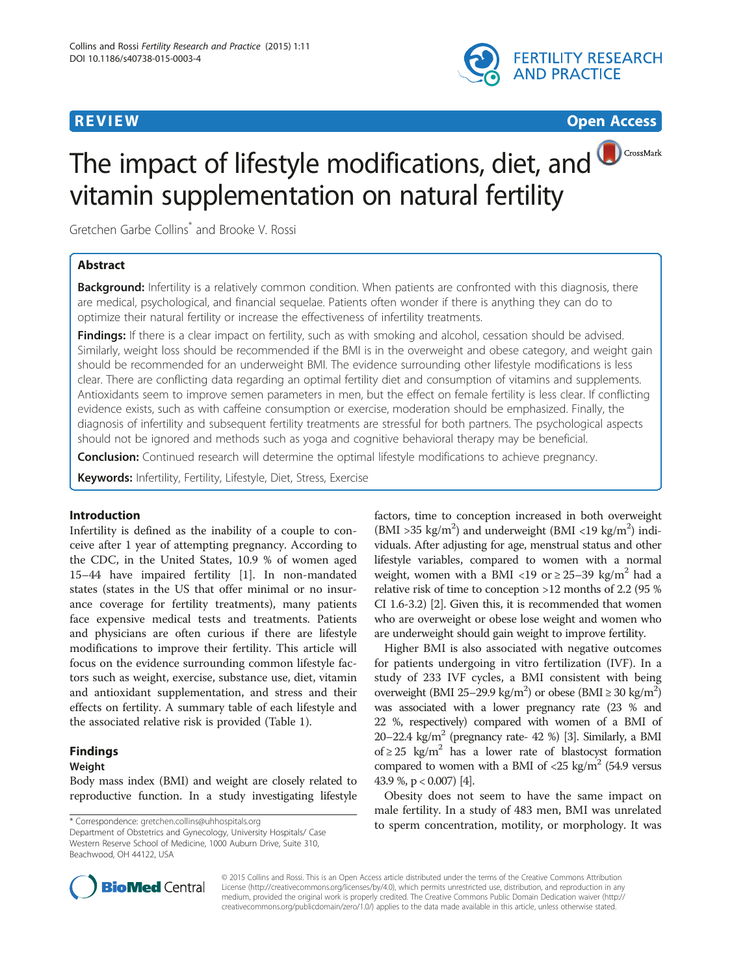

# **REVIEW CONSTRUCTION CONSTRUCTION CONSTRUCTION CONSTRUCTS**

CrossMark

# The impact of lifestyle modifications, diet, and vitamin supplementation on natural fertility

Gretchen Garbe Collins\* and Brooke V. Rossi

# Abstract

Background: Infertility is a relatively common condition. When patients are confronted with this diagnosis, there are medical, psychological, and financial sequelae. Patients often wonder if there is anything they can do to optimize their natural fertility or increase the effectiveness of infertility treatments.

Findings: If there is a clear impact on fertility, such as with smoking and alcohol, cessation should be advised. Similarly, weight loss should be recommended if the BMI is in the overweight and obese category, and weight gain should be recommended for an underweight BMI. The evidence surrounding other lifestyle modifications is less clear. There are conflicting data regarding an optimal fertility diet and consumption of vitamins and supplements. Antioxidants seem to improve semen parameters in men, but the effect on female fertility is less clear. If conflicting evidence exists, such as with caffeine consumption or exercise, moderation should be emphasized. Finally, the diagnosis of infertility and subsequent fertility treatments are stressful for both partners. The psychological aspects should not be ignored and methods such as yoga and cognitive behavioral therapy may be beneficial.

**Conclusion:** Continued research will determine the optimal lifestyle modifications to achieve pregnancy.

Keywords: Infertility, Fertility, Lifestyle, Diet, Stress, Exercise

# Introduction

Infertility is defined as the inability of a couple to conceive after 1 year of attempting pregnancy. According to the CDC, in the United States, 10.9 % of women aged 15–44 have impaired fertility [[1\]](#page-6-0). In non-mandated states (states in the US that offer minimal or no insurance coverage for fertility treatments), many patients face expensive medical tests and treatments. Patients and physicians are often curious if there are lifestyle modifications to improve their fertility. This article will focus on the evidence surrounding common lifestyle factors such as weight, exercise, substance use, diet, vitamin and antioxidant supplementation, and stress and their effects on fertility. A summary table of each lifestyle and the associated relative risk is provided (Table [1\)](#page-1-0).

# Findings

# Weight

Body mass index (BMI) and weight are closely related to reproductive function. In a study investigating lifestyle

Department of Obstetrics and Gynecology, University Hospitals/ Case Western Reserve School of Medicine, 1000 Auburn Drive, Suite 310, Beachwood, OH 44122, USA

factors, time to conception increased in both overweight (BMI > 35 kg/m<sup>2</sup>) and underweight (BMI <19 kg/m<sup>2</sup>) individuals. After adjusting for age, menstrual status and other lifestyle variables, compared to women with a normal weight, women with a BMI <19 or  $\geq$  25–39 kg/m<sup>2</sup> had a relative risk of time to conception >12 months of 2.2 (95 % CI 1.6-3.2) [\[2](#page-6-0)]. Given this, it is recommended that women who are overweight or obese lose weight and women who are underweight should gain weight to improve fertility.

Higher BMI is also associated with negative outcomes for patients undergoing in vitro fertilization (IVF). In a study of 233 IVF cycles, a BMI consistent with being overweight (BMI 25-29.9 kg/m<sup>2</sup>) or obese (BMI  $\geq$  30 kg/m<sup>2</sup>) was associated with a lower pregnancy rate (23 % and 22 %, respectively) compared with women of a BMI of 20–22.4 kg/m<sup>2</sup> (pregnancy rate- 42 %) [\[3](#page-6-0)]. Similarly, a BMI of ≥ 25 kg/m<sup>2</sup> has a lower rate of blastocyst formation compared to women with a BMI of  $\langle 25 \text{ kg/m}^2 \rangle$  (54.9 versus 43.9 %, p < 0.007) [\[4](#page-6-0)].

Obesity does not seem to have the same impact on male fertility. In a study of 483 men, BMI was unrelated \* Correspondence: [gretchen.collins@uhhospitals.org](mailto:gretchen.collins@uhhospitals.org) to sperm concentration, motility, or morphology. It was



© 2015 Collins and Rossi. This is an Open Access article distributed under the terms of the Creative Commons Attribution License (<http://creativecommons.org/licenses/by/4.0>), which permits unrestricted use, distribution, and reproduction in any medium, provided the original work is properly credited. The Creative Commons Public Domain Dedication waiver [\(http://](http://creativecommons.org/publicdomain/zero/1.0/) [creativecommons.org/publicdomain/zero/1.0/\)](http://creativecommons.org/publicdomain/zero/1.0/) applies to the data made available in this article, unless otherwise stated.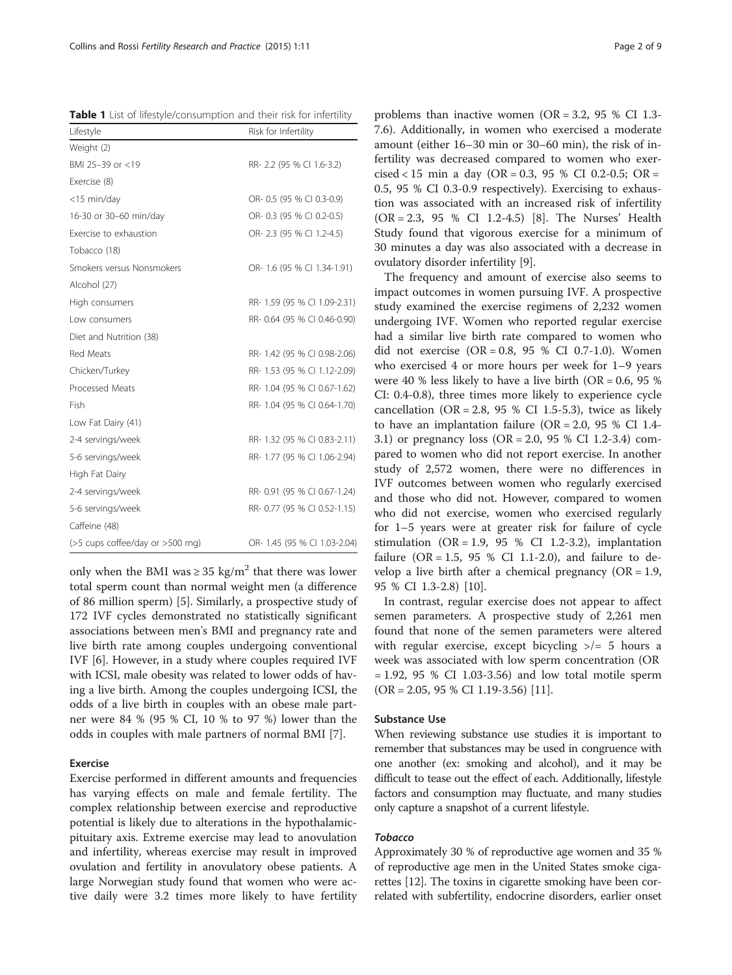<span id="page-1-0"></span>Table 1 List of lifestyle/consumption and their risk for infertility

| Lifestyle                       | Risk for Infertility         |
|---------------------------------|------------------------------|
| Weight (2)                      |                              |
| BMI 25-39 or <19                | RR-2.2 (95 % CI 1.6-3.2)     |
| Exercise (8)                    |                              |
| <15 min/day                     | OR- 0.5 (95 % CI 0.3-0.9)    |
| 16-30 or 30-60 min/day          | OR-0.3 (95 % CI 0.2-0.5)     |
| Exercise to exhaustion          | OR-2.3 (95 % CI 1.2-4.5)     |
| Tobacco (18)                    |                              |
| Smokers versus Nonsmokers       | OR- 1.6 (95 % CI 1.34-1.91)  |
| Alcohol (27)                    |                              |
| High consumers                  | RR- 1.59 (95 % CI 1.09-2.31) |
| Low consumers                   | RR-0.64 (95 % CI 0.46-0.90)  |
| Diet and Nutrition (38)         |                              |
| Red Meats                       | RR- 1.42 (95 % CI 0.98-2.06) |
| Chicken/Turkey                  | RR- 1.53 (95 % CI 1.12-2.09) |
| Processed Meats                 | RR- 1.04 (95 % CI 0.67-1.62) |
| Fish                            | RR- 1.04 (95 % CI 0.64-1.70) |
| Low Fat Dairy (41)              |                              |
| 2-4 servings/week               | RR- 1.32 (95 % CI 0.83-2.11) |
| 5-6 servings/week               | RR- 1.77 (95 % CI 1.06-2.94) |
| High Fat Dairy                  |                              |
| 2-4 servings/week               | RR-0.91 (95 % CI 0.67-1.24)  |
| 5-6 servings/week               | RR-0.77 (95 % CI 0.52-1.15)  |
| Caffeine (48)                   |                              |
| (>5 cups coffee/day or >500 mg) | OR- 1.45 (95 % CI 1.03-2.04) |

only when the BMI was  $\geq$  35 kg/m<sup>2</sup> that there was lower total sperm count than normal weight men (a difference of 86 million sperm) [[5\]](#page-6-0). Similarly, a prospective study of 172 IVF cycles demonstrated no statistically significant associations between men's BMI and pregnancy rate and live birth rate among couples undergoing conventional IVF [\[6\]](#page-6-0). However, in a study where couples required IVF with ICSI, male obesity was related to lower odds of having a live birth. Among the couples undergoing ICSI, the odds of a live birth in couples with an obese male partner were 84 % (95 % CI, 10 % to 97 %) lower than the odds in couples with male partners of normal BMI [\[7](#page-6-0)].

# Exercise

Exercise performed in different amounts and frequencies has varying effects on male and female fertility. The complex relationship between exercise and reproductive potential is likely due to alterations in the hypothalamicpituitary axis. Extreme exercise may lead to anovulation and infertility, whereas exercise may result in improved ovulation and fertility in anovulatory obese patients. A large Norwegian study found that women who were active daily were 3.2 times more likely to have fertility

problems than inactive women ( $OR = 3.2$ , 95 % CI 1.3-7.6). Additionally, in women who exercised a moderate amount (either 16–30 min or 30–60 min), the risk of infertility was decreased compared to women who exercised < 15 min a day (OR = 0.3, 95 % CI 0.2-0.5; OR = 0.5, 95 % CI 0.3-0.9 respectively). Exercising to exhaustion was associated with an increased risk of infertility (OR = 2.3, 95 % CI 1.2-4.5) [\[8](#page-6-0)]. The Nurses' Health Study found that vigorous exercise for a minimum of 30 minutes a day was also associated with a decrease in ovulatory disorder infertility [[9\]](#page-6-0).

The frequency and amount of exercise also seems to impact outcomes in women pursuing IVF. A prospective study examined the exercise regimens of 2,232 women undergoing IVF. Women who reported regular exercise had a similar live birth rate compared to women who did not exercise (OR = 0.8, 95 % CI 0.7-1.0). Women who exercised 4 or more hours per week for 1–9 years were 40 % less likely to have a live birth (OR = 0.6, 95 % CI: 0.4-0.8), three times more likely to experience cycle cancellation (OR = 2.8, 95 % CI 1.5-5.3), twice as likely to have an implantation failure ( $OR = 2.0$ , 95 % CI 1.4-3.1) or pregnancy loss (OR = 2.0, 95 % CI 1.2-3.4) compared to women who did not report exercise. In another study of 2,572 women, there were no differences in IVF outcomes between women who regularly exercised and those who did not. However, compared to women who did not exercise, women who exercised regularly for 1–5 years were at greater risk for failure of cycle stimulation  $(OR = 1.9, 95 % CI 1.2-3.2)$ , implantation failure (OR = 1.5, 95 % CI 1.1-2.0), and failure to develop a live birth after a chemical pregnancy  $(OR = 1.9,$ 95 % CI 1.3-2.8) [[10\]](#page-6-0).

In contrast, regular exercise does not appear to affect semen parameters. A prospective study of 2,261 men found that none of the semen parameters were altered with regular exercise, except bicycling  $\geq$  = 5 hours a week was associated with low sperm concentration (OR = 1.92, 95 % CI 1.03-3.56) and low total motile sperm (OR = 2.05, 95 % CI 1.19-3.56) [\[11\]](#page-6-0).

# Substance Use

When reviewing substance use studies it is important to remember that substances may be used in congruence with one another (ex: smoking and alcohol), and it may be difficult to tease out the effect of each. Additionally, lifestyle factors and consumption may fluctuate, and many studies only capture a snapshot of a current lifestyle.

# Tobacco

Approximately 30 % of reproductive age women and 35 % of reproductive age men in the United States smoke cigarettes [[12](#page-6-0)]. The toxins in cigarette smoking have been correlated with subfertility, endocrine disorders, earlier onset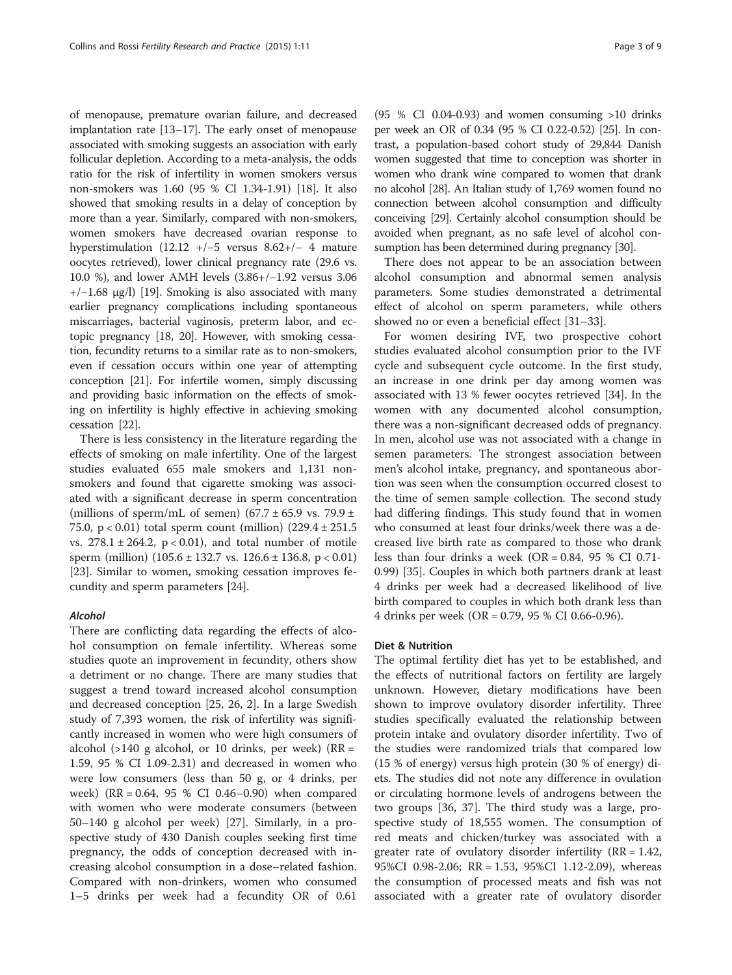of menopause, premature ovarian failure, and decreased implantation rate [\[13](#page-6-0)–[17](#page-6-0)]. The early onset of menopause associated with smoking suggests an association with early follicular depletion. According to a meta-analysis, the odds ratio for the risk of infertility in women smokers versus non-smokers was 1.60 (95 % CI 1.34-1.91) [[18](#page-6-0)]. It also showed that smoking results in a delay of conception by more than a year. Similarly, compared with non-smokers, women smokers have decreased ovarian response to hyperstimulation (12.12 +/−5 versus 8.62+/− 4 mature oocytes retrieved), lower clinical pregnancy rate (29.6 vs. 10.0 %), and lower AMH levels (3.86+/−1.92 versus 3.06 +/−1.68 μg/l) [\[19\]](#page-6-0). Smoking is also associated with many earlier pregnancy complications including spontaneous miscarriages, bacterial vaginosis, preterm labor, and ectopic pregnancy [[18](#page-6-0), [20](#page-6-0)]. However, with smoking cessation, fecundity returns to a similar rate as to non-smokers, even if cessation occurs within one year of attempting conception [[21](#page-6-0)]. For infertile women, simply discussing and providing basic information on the effects of smoking on infertility is highly effective in achieving smoking cessation [[22](#page-6-0)].

There is less consistency in the literature regarding the effects of smoking on male infertility. One of the largest studies evaluated 655 male smokers and 1,131 nonsmokers and found that cigarette smoking was associated with a significant decrease in sperm concentration (millions of sperm/mL of semen) (67.7  $\pm$  65.9 vs. 79.9  $\pm$ 75.0, p < 0.01) total sperm count (million) (229.4 ± 251.5 vs.  $278.1 \pm 264.2$ ,  $p < 0.01$ ), and total number of motile sperm (million)  $(105.6 \pm 132.7 \text{ vs. } 126.6 \pm 136.8, \text{ p} < 0.01)$ [[23\]](#page-6-0). Similar to women, smoking cessation improves fecundity and sperm parameters [[24\]](#page-6-0).

# Alcohol

There are conflicting data regarding the effects of alcohol consumption on female infertility. Whereas some studies quote an improvement in fecundity, others show a detriment or no change. There are many studies that suggest a trend toward increased alcohol consumption and decreased conception [\[25](#page-7-0), [26](#page-7-0), [2\]](#page-6-0). In a large Swedish study of 7,393 women, the risk of infertility was significantly increased in women who were high consumers of alcohol (>140 g alcohol, or 10 drinks, per week) (RR = 1.59, 95 % CI 1.09-2.31) and decreased in women who were low consumers (less than 50 g, or 4 drinks, per week) (RR = 0.64, 95 % CI 0.46–0.90) when compared with women who were moderate consumers (between 50–140 g alcohol per week) [\[27\]](#page-7-0). Similarly, in a prospective study of 430 Danish couples seeking first time pregnancy, the odds of conception decreased with increasing alcohol consumption in a dose–related fashion. Compared with non-drinkers, women who consumed 1–5 drinks per week had a fecundity OR of 0.61

(95 % CI 0.04-0.93) and women consuming  $>10$  drinks per week an OR of 0.34 (95 % CI 0.22-0.52) [[25](#page-7-0)]. In contrast, a population-based cohort study of 29,844 Danish women suggested that time to conception was shorter in women who drank wine compared to women that drank no alcohol [\[28](#page-7-0)]. An Italian study of 1,769 women found no connection between alcohol consumption and difficulty conceiving [\[29\]](#page-7-0). Certainly alcohol consumption should be avoided when pregnant, as no safe level of alcohol consumption has been determined during pregnancy [\[30\]](#page-7-0).

There does not appear to be an association between alcohol consumption and abnormal semen analysis parameters. Some studies demonstrated a detrimental effect of alcohol on sperm parameters, while others showed no or even a beneficial effect [[31](#page-7-0)–[33](#page-7-0)].

For women desiring IVF, two prospective cohort studies evaluated alcohol consumption prior to the IVF cycle and subsequent cycle outcome. In the first study, an increase in one drink per day among women was associated with 13 % fewer oocytes retrieved [\[34](#page-7-0)]. In the women with any documented alcohol consumption, there was a non-significant decreased odds of pregnancy. In men, alcohol use was not associated with a change in semen parameters. The strongest association between men's alcohol intake, pregnancy, and spontaneous abortion was seen when the consumption occurred closest to the time of semen sample collection. The second study had differing findings. This study found that in women who consumed at least four drinks/week there was a decreased live birth rate as compared to those who drank less than four drinks a week  $(OR = 0.84, 95 % CI 0.71 -$ 0.99) [\[35\]](#page-7-0). Couples in which both partners drank at least 4 drinks per week had a decreased likelihood of live birth compared to couples in which both drank less than 4 drinks per week (OR = 0.79, 95 % CI 0.66-0.96).

## Diet & Nutrition

The optimal fertility diet has yet to be established, and the effects of nutritional factors on fertility are largely unknown. However, dietary modifications have been shown to improve ovulatory disorder infertility. Three studies specifically evaluated the relationship between protein intake and ovulatory disorder infertility. Two of the studies were randomized trials that compared low (15 % of energy) versus high protein (30 % of energy) diets. The studies did not note any difference in ovulation or circulating hormone levels of androgens between the two groups [[36](#page-7-0), [37\]](#page-7-0). The third study was a large, prospective study of 18,555 women. The consumption of red meats and chicken/turkey was associated with a greater rate of ovulatory disorder infertility  $(RR = 1.42,$ 95%CI 0.98-2.06; RR = 1.53, 95%CI 1.12-2.09), whereas the consumption of processed meats and fish was not associated with a greater rate of ovulatory disorder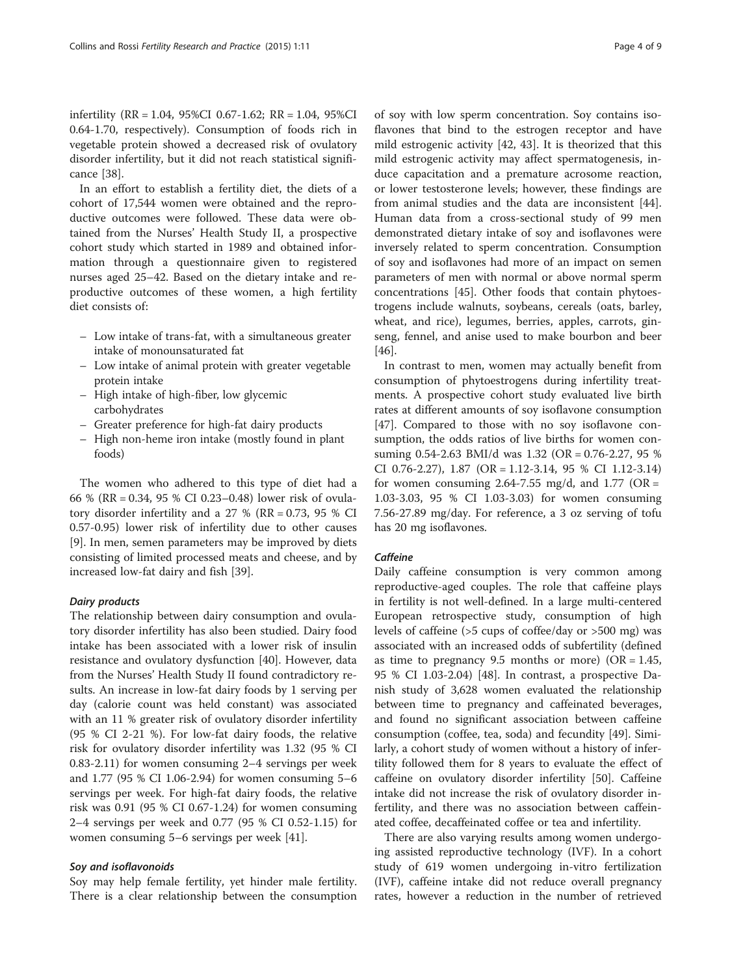infertility (RR = 1.04, 95%CI 0.67-1.62; RR = 1.04, 95%CI 0.64-1.70, respectively). Consumption of foods rich in vegetable protein showed a decreased risk of ovulatory disorder infertility, but it did not reach statistical significance [[38\]](#page-7-0).

In an effort to establish a fertility diet, the diets of a cohort of 17,544 women were obtained and the reproductive outcomes were followed. These data were obtained from the Nurses' Health Study II, a prospective cohort study which started in 1989 and obtained information through a questionnaire given to registered nurses aged 25–42. Based on the dietary intake and reproductive outcomes of these women, a high fertility diet consists of:

- Low intake of trans-fat, with a simultaneous greater intake of monounsaturated fat
- Low intake of animal protein with greater vegetable protein intake
- High intake of high-fiber, low glycemic carbohydrates
- Greater preference for high-fat dairy products
- High non-heme iron intake (mostly found in plant foods)

The women who adhered to this type of diet had a 66 % (RR = 0.34, 95 % CI 0.23–0.48) lower risk of ovulatory disorder infertility and a  $27 %$  (RR = 0.73, 95 % CI 0.57-0.95) lower risk of infertility due to other causes [[9\]](#page-6-0). In men, semen parameters may be improved by diets consisting of limited processed meats and cheese, and by increased low-fat dairy and fish [\[39](#page-7-0)].

# Dairy products

The relationship between dairy consumption and ovulatory disorder infertility has also been studied. Dairy food intake has been associated with a lower risk of insulin resistance and ovulatory dysfunction [[40\]](#page-7-0). However, data from the Nurses' Health Study II found contradictory results. An increase in low-fat dairy foods by 1 serving per day (calorie count was held constant) was associated with an 11 % greater risk of ovulatory disorder infertility (95 % CI 2-21 %). For low-fat dairy foods, the relative risk for ovulatory disorder infertility was 1.32 (95 % CI 0.83-2.11) for women consuming 2–4 servings per week and 1.77 (95 % CI 1.06-2.94) for women consuming 5–6 servings per week. For high-fat dairy foods, the relative risk was 0.91 (95 % CI 0.67-1.24) for women consuming 2–4 servings per week and 0.77 (95 % CI 0.52-1.15) for women consuming 5–6 servings per week [\[41\]](#page-7-0).

## Soy and isoflavonoids

Soy may help female fertility, yet hinder male fertility. There is a clear relationship between the consumption

of soy with low sperm concentration. Soy contains isoflavones that bind to the estrogen receptor and have mild estrogenic activity [[42, 43](#page-7-0)]. It is theorized that this mild estrogenic activity may affect spermatogenesis, induce capacitation and a premature acrosome reaction, or lower testosterone levels; however, these findings are from animal studies and the data are inconsistent [\[44](#page-7-0)]. Human data from a cross-sectional study of 99 men demonstrated dietary intake of soy and isoflavones were inversely related to sperm concentration. Consumption of soy and isoflavones had more of an impact on semen parameters of men with normal or above normal sperm concentrations [[45\]](#page-7-0). Other foods that contain phytoestrogens include walnuts, soybeans, cereals (oats, barley, wheat, and rice), legumes, berries, apples, carrots, ginseng, fennel, and anise used to make bourbon and beer [[46\]](#page-7-0).

In contrast to men, women may actually benefit from consumption of phytoestrogens during infertility treatments. A prospective cohort study evaluated live birth rates at different amounts of soy isoflavone consumption [[47\]](#page-7-0). Compared to those with no soy isoflavone consumption, the odds ratios of live births for women consuming 0.54-2.63 BMI/d was 1.32 (OR = 0.76-2.27, 95 % CI 0.76-2.27), 1.87 (OR = 1.12-3.14, 95 % CI 1.12-3.14) for women consuming 2.64-7.55 mg/d, and 1.77 ( $OR =$ 1.03-3.03, 95 % CI 1.03-3.03) for women consuming 7.56-27.89 mg/day. For reference, a 3 oz serving of tofu has 20 mg isoflavones.

# **Caffeine**

Daily caffeine consumption is very common among reproductive-aged couples. The role that caffeine plays in fertility is not well-defined. In a large multi-centered European retrospective study, consumption of high levels of caffeine (>5 cups of coffee/day or >500 mg) was associated with an increased odds of subfertility (defined as time to pregnancy 9.5 months or more) ( $OR = 1.45$ , 95 % CI 1.03-2.04) [[48\]](#page-7-0). In contrast, a prospective Danish study of 3,628 women evaluated the relationship between time to pregnancy and caffeinated beverages, and found no significant association between caffeine consumption (coffee, tea, soda) and fecundity [\[49](#page-7-0)]. Similarly, a cohort study of women without a history of infertility followed them for 8 years to evaluate the effect of caffeine on ovulatory disorder infertility [[50\]](#page-7-0). Caffeine intake did not increase the risk of ovulatory disorder infertility, and there was no association between caffeinated coffee, decaffeinated coffee or tea and infertility.

There are also varying results among women undergoing assisted reproductive technology (IVF). In a cohort study of 619 women undergoing in-vitro fertilization (IVF), caffeine intake did not reduce overall pregnancy rates, however a reduction in the number of retrieved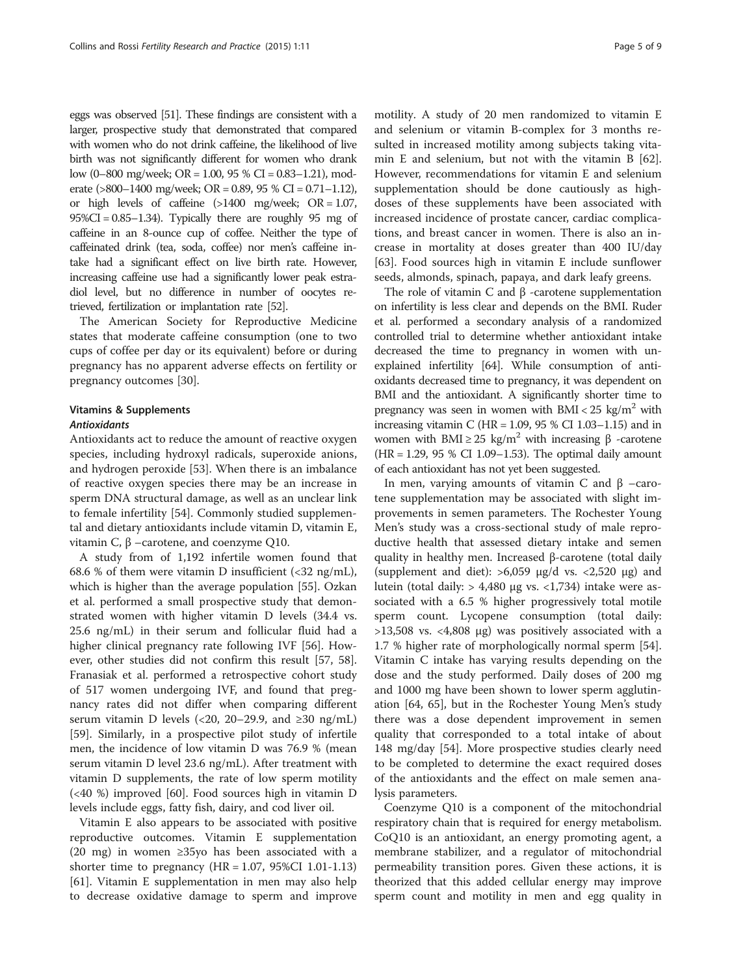eggs was observed [\[51\]](#page-7-0). These findings are consistent with a larger, prospective study that demonstrated that compared with women who do not drink caffeine, the likelihood of live birth was not significantly different for women who drank low (0–800 mg/week; OR = 1.00, 95 % CI = 0.83–1.21), moderate (>800–1400 mg/week; OR = 0.89, 95 % CI = 0.71–1.12), or high levels of caffeine  $(>1400 \text{ mg/week}; \text{ OR} = 1.07,$ 95%CI = 0.85–1.34). Typically there are roughly 95 mg of caffeine in an 8-ounce cup of coffee. Neither the type of caffeinated drink (tea, soda, coffee) nor men's caffeine intake had a significant effect on live birth rate. However, increasing caffeine use had a significantly lower peak estradiol level, but no difference in number of oocytes retrieved, fertilization or implantation rate [\[52](#page-7-0)].

The American Society for Reproductive Medicine states that moderate caffeine consumption (one to two cups of coffee per day or its equivalent) before or during pregnancy has no apparent adverse effects on fertility or pregnancy outcomes [\[30](#page-7-0)].

# Vitamins & Supplements

# **Antioxidants**

Antioxidants act to reduce the amount of reactive oxygen species, including hydroxyl radicals, superoxide anions, and hydrogen peroxide [\[53](#page-7-0)]. When there is an imbalance of reactive oxygen species there may be an increase in sperm DNA structural damage, as well as an unclear link to female infertility [\[54\]](#page-7-0). Commonly studied supplemental and dietary antioxidants include vitamin D, vitamin E, vitamin C, β –carotene, and coenzyme Q10.

A study from of 1,192 infertile women found that 68.6 % of them were vitamin D insufficient  $\langle$  <32 ng/mL), which is higher than the average population [\[55](#page-7-0)]. Ozkan et al. performed a small prospective study that demonstrated women with higher vitamin D levels (34.4 vs. 25.6 ng/mL) in their serum and follicular fluid had a higher clinical pregnancy rate following IVF [\[56](#page-7-0)]. However, other studies did not confirm this result [\[57](#page-7-0), [58](#page-7-0)]. Franasiak et al. performed a retrospective cohort study of 517 women undergoing IVF, and found that pregnancy rates did not differ when comparing different serum vitamin D levels (<20, 20–29.9, and  $\geq$ 30 ng/mL) [[59\]](#page-7-0). Similarly, in a prospective pilot study of infertile men, the incidence of low vitamin D was 76.9 % (mean serum vitamin D level 23.6 ng/mL). After treatment with vitamin D supplements, the rate of low sperm motility (<40 %) improved [\[60\]](#page-7-0). Food sources high in vitamin D levels include eggs, fatty fish, dairy, and cod liver oil.

Vitamin E also appears to be associated with positive reproductive outcomes. Vitamin E supplementation (20 mg) in women ≥35yo has been associated with a shorter time to pregnancy  $(HR = 1.07, 95\% CI 1.01-1.13)$ [[61\]](#page-7-0). Vitamin E supplementation in men may also help to decrease oxidative damage to sperm and improve

motility. A study of 20 men randomized to vitamin E and selenium or vitamin B-complex for 3 months resulted in increased motility among subjects taking vitamin E and selenium, but not with the vitamin B [\[62](#page-7-0)]. However, recommendations for vitamin E and selenium supplementation should be done cautiously as highdoses of these supplements have been associated with increased incidence of prostate cancer, cardiac complications, and breast cancer in women. There is also an increase in mortality at doses greater than 400 IU/day [[63\]](#page-7-0). Food sources high in vitamin E include sunflower seeds, almonds, spinach, papaya, and dark leafy greens.

The role of vitamin C and  $β$  -carotene supplementation on infertility is less clear and depends on the BMI. Ruder et al. performed a secondary analysis of a randomized controlled trial to determine whether antioxidant intake decreased the time to pregnancy in women with unexplained infertility [[64](#page-7-0)]. While consumption of antioxidants decreased time to pregnancy, it was dependent on BMI and the antioxidant. A significantly shorter time to pregnancy was seen in women with  $BMI < 25$  kg/m<sup>2</sup> with increasing vitamin C ( $HR = 1.09$ ,  $95 % CI 1.03-1.15$ ) and in women with BMI  $\geq$  25 kg/m<sup>2</sup> with increasing β -carotene  $(HR = 1.29, 95 % CI 1.09–1.53)$ . The optimal daily amount of each antioxidant has not yet been suggested.

In men, varying amounts of vitamin C and  $β$  –carotene supplementation may be associated with slight improvements in semen parameters. The Rochester Young Men's study was a cross-sectional study of male reproductive health that assessed dietary intake and semen quality in healthy men. Increased β-carotene (total daily (supplement and diet):  $>6,059$  µg/d vs. <2,520 µg) and lutein (total daily: > 4,480 μg vs. <1,734) intake were associated with a 6.5 % higher progressively total motile sperm count. Lycopene consumption (total daily: >13,508 vs. <4,808 μg) was positively associated with a 1.7 % higher rate of morphologically normal sperm [\[54](#page-7-0)]. Vitamin C intake has varying results depending on the dose and the study performed. Daily doses of 200 mg and 1000 mg have been shown to lower sperm agglutination [[64](#page-7-0), [65](#page-7-0)], but in the Rochester Young Men's study there was a dose dependent improvement in semen quality that corresponded to a total intake of about 148 mg/day [[54\]](#page-7-0). More prospective studies clearly need to be completed to determine the exact required doses of the antioxidants and the effect on male semen analysis parameters.

Coenzyme Q10 is a component of the mitochondrial respiratory chain that is required for energy metabolism. CoQ10 is an antioxidant, an energy promoting agent, a membrane stabilizer, and a regulator of mitochondrial permeability transition pores. Given these actions, it is theorized that this added cellular energy may improve sperm count and motility in men and egg quality in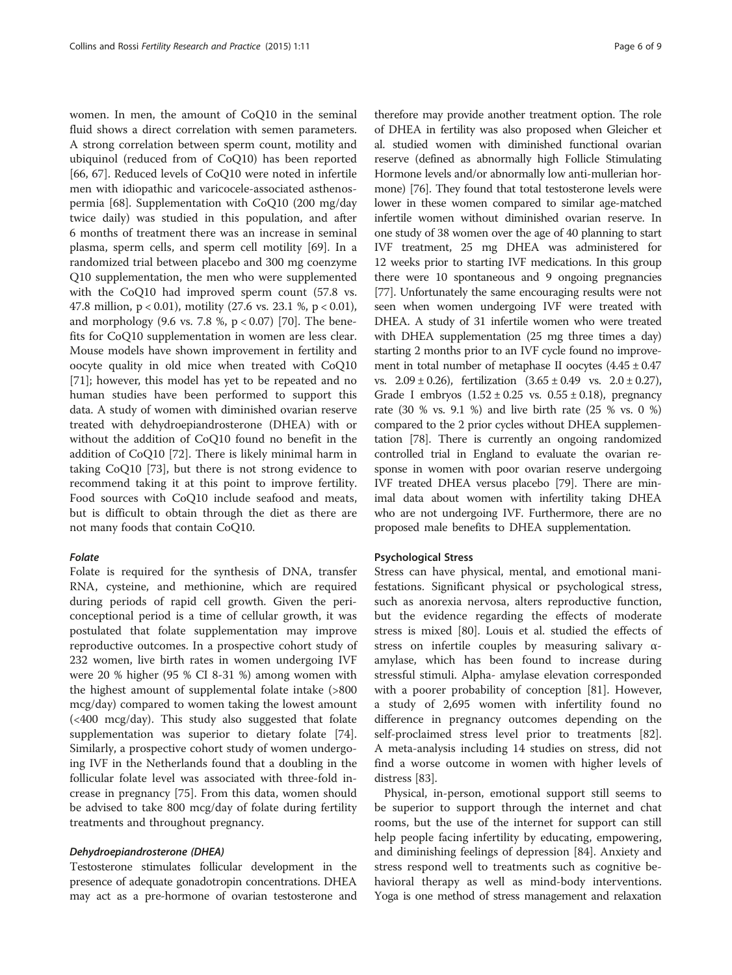women. In men, the amount of CoQ10 in the seminal fluid shows a direct correlation with semen parameters. A strong correlation between sperm count, motility and ubiquinol (reduced from of CoQ10) has been reported [[66, 67\]](#page-7-0). Reduced levels of CoQ10 were noted in infertile men with idiopathic and varicocele-associated asthenospermia [[68\]](#page-7-0). Supplementation with CoQ10 (200 mg/day twice daily) was studied in this population, and after 6 months of treatment there was an increase in seminal plasma, sperm cells, and sperm cell motility [\[69](#page-7-0)]. In a randomized trial between placebo and 300 mg coenzyme Q10 supplementation, the men who were supplemented with the CoQ10 had improved sperm count (57.8 vs. 47.8 million, p < 0.01), motility (27.6 vs. 23.1 %, p < 0.01), and morphology (9.6 vs. 7.8 %,  $p < 0.07$ ) [\[70](#page-7-0)]. The benefits for CoQ10 supplementation in women are less clear. Mouse models have shown improvement in fertility and oocyte quality in old mice when treated with CoQ10 [[71\]](#page-7-0); however, this model has yet to be repeated and no human studies have been performed to support this data. A study of women with diminished ovarian reserve treated with dehydroepiandrosterone (DHEA) with or without the addition of CoQ10 found no benefit in the addition of CoQ10 [\[72](#page-7-0)]. There is likely minimal harm in taking CoQ10 [\[73](#page-7-0)], but there is not strong evidence to recommend taking it at this point to improve fertility. Food sources with CoQ10 include seafood and meats, but is difficult to obtain through the diet as there are not many foods that contain CoQ10.

# Folate

Folate is required for the synthesis of DNA, transfer RNA, cysteine, and methionine, which are required during periods of rapid cell growth. Given the periconceptional period is a time of cellular growth, it was postulated that folate supplementation may improve reproductive outcomes. In a prospective cohort study of 232 women, live birth rates in women undergoing IVF were 20 % higher (95 % CI 8-31 %) among women with the highest amount of supplemental folate intake (>800 mcg/day) compared to women taking the lowest amount (<400 mcg/day). This study also suggested that folate supplementation was superior to dietary folate [\[74](#page-8-0)]. Similarly, a prospective cohort study of women undergoing IVF in the Netherlands found that a doubling in the follicular folate level was associated with three-fold increase in pregnancy [\[75\]](#page-8-0). From this data, women should be advised to take 800 mcg/day of folate during fertility treatments and throughout pregnancy.

## Dehydroepiandrosterone (DHEA)

Testosterone stimulates follicular development in the presence of adequate gonadotropin concentrations. DHEA may act as a pre-hormone of ovarian testosterone and

therefore may provide another treatment option. The role of DHEA in fertility was also proposed when Gleicher et al. studied women with diminished functional ovarian reserve (defined as abnormally high Follicle Stimulating Hormone levels and/or abnormally low anti-mullerian hormone) [[76](#page-8-0)]. They found that total testosterone levels were lower in these women compared to similar age-matched infertile women without diminished ovarian reserve. In one study of 38 women over the age of 40 planning to start IVF treatment, 25 mg DHEA was administered for 12 weeks prior to starting IVF medications. In this group there were 10 spontaneous and 9 ongoing pregnancies [[77](#page-8-0)]. Unfortunately the same encouraging results were not seen when women undergoing IVF were treated with DHEA. A study of 31 infertile women who were treated with DHEA supplementation (25 mg three times a day) starting 2 months prior to an IVF cycle found no improvement in total number of metaphase II oocytes  $(4.45 \pm 0.47)$ vs.  $2.09 \pm 0.26$ , fertilization  $(3.65 \pm 0.49 \text{ vs. } 2.0 \pm 0.27)$ , Grade I embryos  $(1.52 \pm 0.25 \text{ vs. } 0.55 \pm 0.18)$ , pregnancy rate (30 % vs. 9.1 %) and live birth rate (25 % vs. 0 %) compared to the 2 prior cycles without DHEA supplementation [\[78\]](#page-8-0). There is currently an ongoing randomized controlled trial in England to evaluate the ovarian response in women with poor ovarian reserve undergoing IVF treated DHEA versus placebo [\[79](#page-8-0)]. There are minimal data about women with infertility taking DHEA who are not undergoing IVF. Furthermore, there are no proposed male benefits to DHEA supplementation.

#### Psychological Stress

Stress can have physical, mental, and emotional manifestations. Significant physical or psychological stress, such as anorexia nervosa, alters reproductive function, but the evidence regarding the effects of moderate stress is mixed [[80\]](#page-8-0). Louis et al. studied the effects of stress on infertile couples by measuring salivary αamylase, which has been found to increase during stressful stimuli. Alpha- amylase elevation corresponded with a poorer probability of conception [[81\]](#page-8-0). However, a study of 2,695 women with infertility found no difference in pregnancy outcomes depending on the self-proclaimed stress level prior to treatments [\[82](#page-8-0)]. A meta-analysis including 14 studies on stress, did not find a worse outcome in women with higher levels of distress [[83\]](#page-8-0).

Physical, in-person, emotional support still seems to be superior to support through the internet and chat rooms, but the use of the internet for support can still help people facing infertility by educating, empowering, and diminishing feelings of depression [\[84\]](#page-8-0). Anxiety and stress respond well to treatments such as cognitive behavioral therapy as well as mind-body interventions. Yoga is one method of stress management and relaxation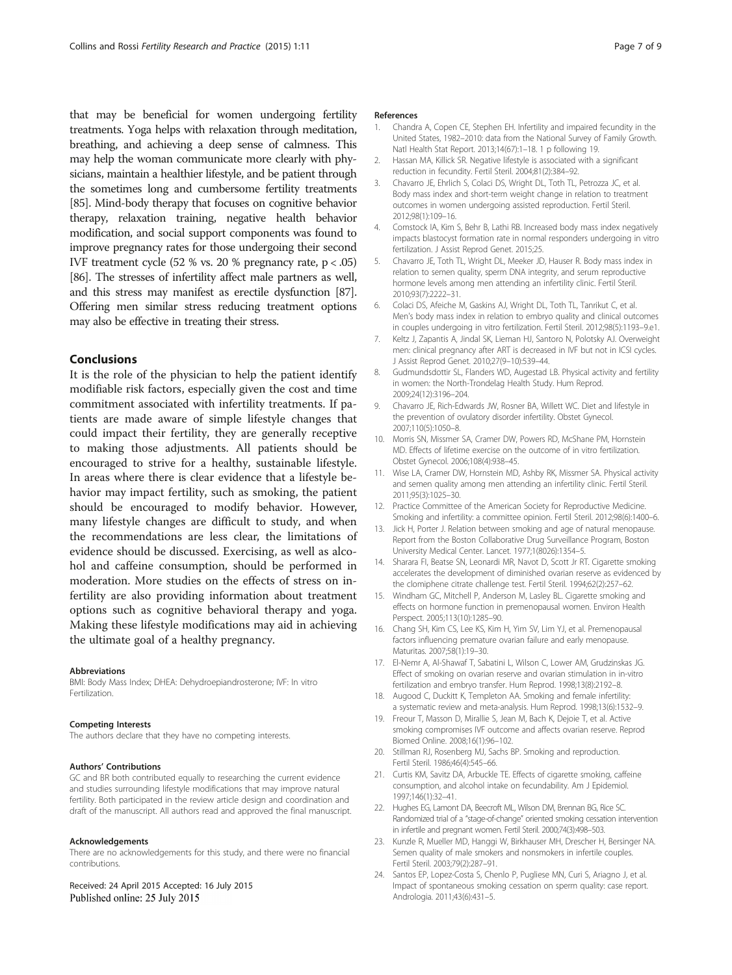<span id="page-6-0"></span>that may be beneficial for women undergoing fertility treatments. Yoga helps with relaxation through meditation, breathing, and achieving a deep sense of calmness. This may help the woman communicate more clearly with physicians, maintain a healthier lifestyle, and be patient through the sometimes long and cumbersome fertility treatments [[85](#page-8-0)]. Mind-body therapy that focuses on cognitive behavior therapy, relaxation training, negative health behavior modification, and social support components was found to improve pregnancy rates for those undergoing their second IVF treatment cycle  $(52 % vs. 20 % pregnancy rate, p < .05)$ [[86](#page-8-0)]. The stresses of infertility affect male partners as well, and this stress may manifest as erectile dysfunction [\[87](#page-8-0)]. Offering men similar stress reducing treatment options may also be effective in treating their stress.

# Conclusions

It is the role of the physician to help the patient identify modifiable risk factors, especially given the cost and time commitment associated with infertility treatments. If patients are made aware of simple lifestyle changes that could impact their fertility, they are generally receptive to making those adjustments. All patients should be encouraged to strive for a healthy, sustainable lifestyle. In areas where there is clear evidence that a lifestyle behavior may impact fertility, such as smoking, the patient should be encouraged to modify behavior. However, many lifestyle changes are difficult to study, and when the recommendations are less clear, the limitations of evidence should be discussed. Exercising, as well as alcohol and caffeine consumption, should be performed in moderation. More studies on the effects of stress on infertility are also providing information about treatment options such as cognitive behavioral therapy and yoga. Making these lifestyle modifications may aid in achieving the ultimate goal of a healthy pregnancy.

#### Abbreviations

BMI: Body Mass Index; DHEA: Dehydroepiandrosterone; IVF: In vitro Fertilization.

#### Competing Interests

The authors declare that they have no competing interests.

#### Authors' Contributions

GC and BR both contributed equally to researching the current evidence and studies surrounding lifestyle modifications that may improve natural fertility. Both participated in the review article design and coordination and draft of the manuscript. All authors read and approved the final manuscript.

## Acknowledgements

There are no acknowledgements for this study, and there were no financial contributions.

Received: 24 April 2015 Accepted: 16 July 2015 Published online: 25 July 2015

#### References

- 1. Chandra A, Copen CE, Stephen EH. Infertility and impaired fecundity in the United States, 1982–2010: data from the National Survey of Family Growth. Natl Health Stat Report. 2013;14(67):1–18. 1 p following 19.
- 2. Hassan MA, Killick SR. Negative lifestyle is associated with a significant reduction in fecundity. Fertil Steril. 2004;81(2):384–92.
- 3. Chavarro JE, Ehrlich S, Colaci DS, Wright DL, Toth TL, Petrozza JC, et al. Body mass index and short-term weight change in relation to treatment outcomes in women undergoing assisted reproduction. Fertil Steril. 2012;98(1):109–16.
- 4. Comstock IA, Kim S, Behr B, Lathi RB. Increased body mass index negatively impacts blastocyst formation rate in normal responders undergoing in vitro fertilization. J Assist Reprod Genet. 2015;25.
- 5. Chavarro JE, Toth TL, Wright DL, Meeker JD, Hauser R. Body mass index in relation to semen quality, sperm DNA integrity, and serum reproductive hormone levels among men attending an infertility clinic. Fertil Steril. 2010;93(7):2222–31.
- 6. Colaci DS, Afeiche M, Gaskins AJ, Wright DL, Toth TL, Tanrikut C, et al. Men's body mass index in relation to embryo quality and clinical outcomes in couples undergoing in vitro fertilization. Fertil Steril. 2012;98(5):1193–9.e1.
- 7. Keltz J, Zapantis A, Jindal SK, Lieman HJ, Santoro N, Polotsky AJ. Overweight men: clinical pregnancy after ART is decreased in IVF but not in ICSI cycles. J Assist Reprod Genet. 2010;27(9–10):539–44.
- 8. Gudmundsdottir SL, Flanders WD, Augestad LB. Physical activity and fertility in women: the North-Trondelag Health Study. Hum Reprod. 2009;24(12):3196–204.
- 9. Chavarro JE, Rich-Edwards JW, Rosner BA, Willett WC. Diet and lifestyle in the prevention of ovulatory disorder infertility. Obstet Gynecol. 2007;110(5):1050–8.
- 10. Morris SN, Missmer SA, Cramer DW, Powers RD, McShane PM, Hornstein MD. Effects of lifetime exercise on the outcome of in vitro fertilization. Obstet Gynecol. 2006;108(4):938–45.
- 11. Wise LA, Cramer DW, Hornstein MD, Ashby RK, Missmer SA. Physical activity and semen quality among men attending an infertility clinic. Fertil Steril. 2011;95(3):1025–30.
- 12. Practice Committee of the American Society for Reproductive Medicine. Smoking and infertility: a committee opinion. Fertil Steril. 2012;98(6):1400–6.
- 13. Jick H, Porter J. Relation between smoking and age of natural menopause. Report from the Boston Collaborative Drug Surveillance Program, Boston University Medical Center. Lancet. 1977;1(8026):1354–5.
- 14. Sharara FI, Beatse SN, Leonardi MR, Navot D, Scott Jr RT. Cigarette smoking accelerates the development of diminished ovarian reserve as evidenced by the clomiphene citrate challenge test. Fertil Steril. 1994;62(2):257–62.
- 15. Windham GC, Mitchell P, Anderson M, Lasley BL. Cigarette smoking and effects on hormone function in premenopausal women. Environ Health Perspect. 2005;113(10):1285–90.
- 16. Chang SH, Kim CS, Lee KS, Kim H, Yim SV, Lim YJ, et al. Premenopausal factors influencing premature ovarian failure and early menopause. Maturitas. 2007;58(1):19–30.
- 17. El-Nemr A, Al-Shawaf T, Sabatini L, Wilson C, Lower AM, Grudzinskas JG. Effect of smoking on ovarian reserve and ovarian stimulation in in-vitro fertilization and embryo transfer. Hum Reprod. 1998;13(8):2192–8.
- 18. Augood C, Duckitt K, Templeton AA. Smoking and female infertility: a systematic review and meta-analysis. Hum Reprod. 1998;13(6):1532–9.
- 19. Freour T, Masson D, Mirallie S, Jean M, Bach K, Dejoie T, et al. Active smoking compromises IVF outcome and affects ovarian reserve. Reprod Biomed Online. 2008;16(1):96–102.
- 20. Stillman RJ, Rosenberg MJ, Sachs BP, Smoking and reproduction. Fertil Steril. 1986;46(4):545–66.
- 21. Curtis KM, Savitz DA, Arbuckle TE. Effects of cigarette smoking, caffeine consumption, and alcohol intake on fecundability. Am J Epidemiol. 1997;146(1):32–41.
- 22. Hughes EG, Lamont DA, Beecroft ML, Wilson DM, Brennan BG, Rice SC. Randomized trial of a "stage-of-change" oriented smoking cessation intervention in infertile and pregnant women. Fertil Steril. 2000;74(3):498–503.
- 23. Kunzle R, Mueller MD, Hanggi W, Birkhauser MH, Drescher H, Bersinger NA. Semen quality of male smokers and nonsmokers in infertile couples. Fertil Steril. 2003;79(2):287–91.
- 24. Santos EP, Lopez-Costa S, Chenlo P, Pugliese MN, Curi S, Ariagno J, et al. Impact of spontaneous smoking cessation on sperm quality: case report. Andrologia. 2011;43(6):431–5.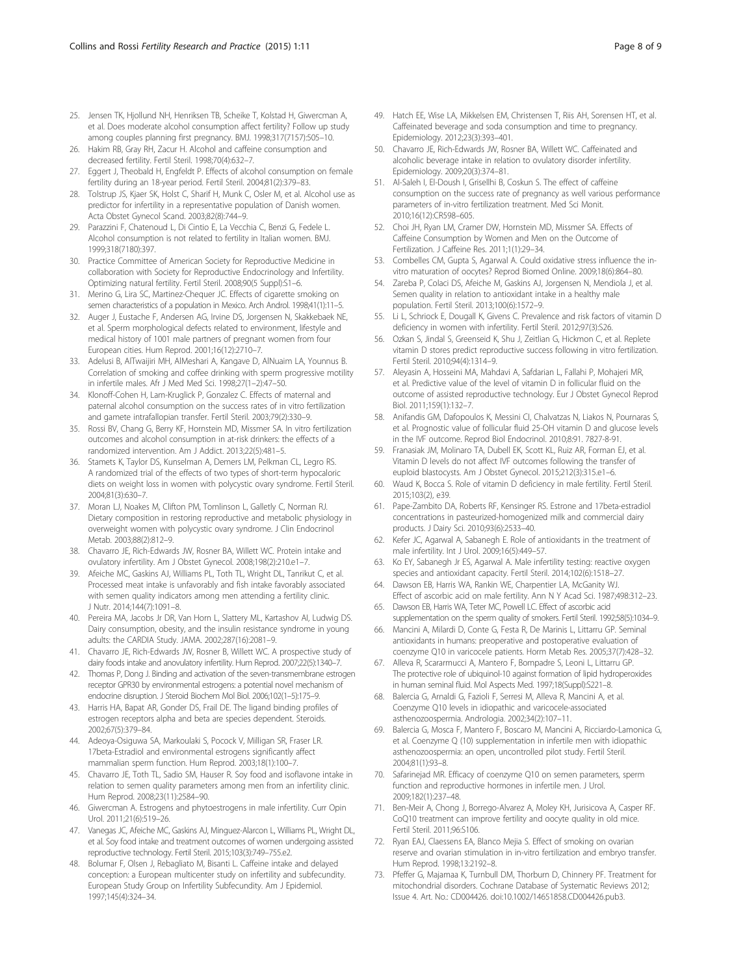- <span id="page-7-0"></span>25. Jensen TK, Hjollund NH, Henriksen TB, Scheike T, Kolstad H, Giwercman A, et al. Does moderate alcohol consumption affect fertility? Follow up study among couples planning first pregnancy. BMJ. 1998;317(7157):505–10.
- 26. Hakim RB, Gray RH, Zacur H. Alcohol and caffeine consumption and decreased fertility. Fertil Steril. 1998;70(4):632–7.
- 27. Eggert J, Theobald H, Engfeldt P. Effects of alcohol consumption on female fertility during an 18-year period. Fertil Steril. 2004;81(2):379–83.
- 28. Tolstrup JS, Kjaer SK, Holst C, Sharif H, Munk C, Osler M, et al. Alcohol use as predictor for infertility in a representative population of Danish women. Acta Obstet Gynecol Scand. 2003;82(8):744–9.
- 29. Parazzini F, Chatenoud L, Di Cintio E, La Vecchia C, Benzi G, Fedele L. Alcohol consumption is not related to fertility in Italian women. BMJ. 1999;318(7180):397.
- 30. Practice Committee of American Society for Reproductive Medicine in collaboration with Society for Reproductive Endocrinology and Infertility. Optimizing natural fertility. Fertil Steril. 2008;90(5 Suppl):S1–6.
- 31. Merino G, Lira SC, Martinez-Chequer JC. Effects of cigarette smoking on semen characteristics of a population in Mexico. Arch Androl. 1998;41(1):11-5.
- 32. Auger J, Eustache F, Andersen AG, Irvine DS, Jorgensen N, Skakkebaek NE, et al. Sperm morphological defects related to environment, lifestyle and medical history of 1001 male partners of pregnant women from four European cities. Hum Reprod. 2001;16(12):2710–7.
- 33. Adelusi B, AlTwaijiri MH, AlMeshari A, Kangave D, AlNuaim LA, Younnus B. Correlation of smoking and coffee drinking with sperm progressive motility in infertile males. Afr J Med Med Sci. 1998;27(1–2):47–50.
- 34. Klonoff-Cohen H, Lam-Kruglick P, Gonzalez C. Effects of maternal and paternal alcohol consumption on the success rates of in vitro fertilization and gamete intrafallopian transfer. Fertil Steril. 2003;79(2):330–9.
- 35. Rossi BV, Chang G, Berry KF, Hornstein MD, Missmer SA. In vitro fertilization outcomes and alcohol consumption in at-risk drinkers: the effects of a randomized intervention. Am J Addict. 2013;22(5):481–5.
- 36. Stamets K, Taylor DS, Kunselman A, Demers LM, Pelkman CL, Legro RS. A randomized trial of the effects of two types of short-term hypocaloric diets on weight loss in women with polycystic ovary syndrome. Fertil Steril. 2004;81(3):630–7.
- 37. Moran LJ, Noakes M, Clifton PM, Tomlinson L, Galletly C, Norman RJ. Dietary composition in restoring reproductive and metabolic physiology in overweight women with polycystic ovary syndrome. J Clin Endocrinol Metab. 2003;88(2):812–9.
- 38. Chavarro JE, Rich-Edwards JW, Rosner BA, Willett WC. Protein intake and ovulatory infertility. Am J Obstet Gynecol. 2008;198(2):210.e1–7.
- 39. Afeiche MC, Gaskins AJ, Williams PL, Toth TL, Wright DL, Tanrikut C, et al. Processed meat intake is unfavorably and fish intake favorably associated with semen quality indicators among men attending a fertility clinic. J Nutr. 2014;144(7):1091–8.
- 40. Pereira MA, Jacobs Jr DR, Van Horn L, Slattery ML, Kartashov AI, Ludwig DS. Dairy consumption, obesity, and the insulin resistance syndrome in young adults: the CARDIA Study. JAMA. 2002;287(16):2081–9.
- 41. Chavarro JE, Rich-Edwards JW, Rosner B, Willett WC. A prospective study of dairy foods intake and anovulatory infertility. Hum Reprod. 2007;22(5):1340–7.
- 42. Thomas P, Dong J. Binding and activation of the seven-transmembrane estrogen receptor GPR30 by environmental estrogens: a potential novel mechanism of endocrine disruption. J Steroid Biochem Mol Biol. 2006;102(1–5):175–9.
- 43. Harris HA, Bapat AR, Gonder DS, Frail DE. The ligand binding profiles of estrogen receptors alpha and beta are species dependent. Steroids. 2002;67(5):379–84.
- 44. Adeoya-Osiguwa SA, Markoulaki S, Pocock V, Milligan SR, Fraser LR. 17beta-Estradiol and environmental estrogens significantly affect mammalian sperm function. Hum Reprod. 2003;18(1):100–7.
- 45. Chavarro JE, Toth TL, Sadio SM, Hauser R. Soy food and isoflavone intake in relation to semen quality parameters among men from an infertility clinic. Hum Reprod. 2008;23(11):2584–90.
- 46. Giwercman A. Estrogens and phytoestrogens in male infertility. Curr Opin Urol. 2011;21(6):519–26.
- 47. Vanegas JC, Afeiche MC, Gaskins AJ, Minguez-Alarcon L, Williams PL, Wright DL, et al. Soy food intake and treatment outcomes of women undergoing assisted reproductive technology. Fertil Steril. 2015;103(3):749–755.e2.
- 48. Bolumar F, Olsen J, Rebagliato M, Bisanti L. Caffeine intake and delayed conception: a European multicenter study on infertility and subfecundity. European Study Group on Infertility Subfecundity. Am J Epidemiol. 1997;145(4):324–34.
- 49. Hatch EE, Wise LA, Mikkelsen EM, Christensen T, Riis AH, Sorensen HT, et al. Caffeinated beverage and soda consumption and time to pregnancy. Epidemiology. 2012;23(3):393–401.
- 50. Chavarro JE, Rich-Edwards JW, Rosner BA, Willett WC. Caffeinated and alcoholic beverage intake in relation to ovulatory disorder infertility. Epidemiology. 2009;20(3):374–81.
- 51. Al-Saleh I, El-Doush I, Grisellhi B, Coskun S. The effect of caffeine consumption on the success rate of pregnancy as well various performance parameters of in-vitro fertilization treatment. Med Sci Monit. 2010;16(12):CR598–605.
- 52. Choi JH, Ryan LM, Cramer DW, Hornstein MD, Missmer SA. Effects of Caffeine Consumption by Women and Men on the Outcome of Fertilization. J Caffeine Res. 2011;1(1):29–34.
- 53. Combelles CM, Gupta S, Agarwal A. Could oxidative stress influence the invitro maturation of oocytes? Reprod Biomed Online. 2009;18(6):864–80.
- 54. Zareba P, Colaci DS, Afeiche M, Gaskins AJ, Jorgensen N, Mendiola J, et al. Semen quality in relation to antioxidant intake in a healthy male population. Fertil Steril. 2013;100(6):1572–9.
- 55. Li L, Schriock E, Dougall K, Givens C. Prevalence and risk factors of vitamin D deficiency in women with infertility. Fertil Steril. 2012;97(3):S26.
- 56. Ozkan S, Jindal S, Greenseid K, Shu J, Zeitlian G, Hickmon C, et al. Replete vitamin D stores predict reproductive success following in vitro fertilization. Fertil Steril. 2010;94(4):1314–9.
- 57. Aleyasin A, Hosseini MA, Mahdavi A, Safdarian L, Fallahi P, Mohajeri MR, et al. Predictive value of the level of vitamin D in follicular fluid on the outcome of assisted reproductive technology. Eur J Obstet Gynecol Reprod Biol. 2011;159(1):132–7.
- 58. Anifandis GM, Dafopoulos K, Messini CI, Chalvatzas N, Liakos N, Pournaras S, et al. Prognostic value of follicular fluid 25-OH vitamin D and glucose levels in the IVF outcome. Reprod Biol Endocrinol. 2010;8:91. 7827-8-91.
- 59. Franasiak JM, Molinaro TA, Dubell EK, Scott KL, Ruiz AR, Forman EJ, et al. Vitamin D levels do not affect IVF outcomes following the transfer of euploid blastocysts. Am J Obstet Gynecol. 2015;212(3):315.e1–6.
- 60. Waud K, Bocca S. Role of vitamin D deficiency in male fertility. Fertil Steril. 2015;103(2), e39.
- 61. Pape-Zambito DA, Roberts RF, Kensinger RS. Estrone and 17beta-estradiol concentrations in pasteurized-homogenized milk and commercial dairy products. J Dairy Sci. 2010;93(6):2533–40.
- 62. Kefer JC, Agarwal A, Sabanegh E. Role of antioxidants in the treatment of male infertility. Int J Urol. 2009;16(5):449–57.
- 63. Ko EY, Sabanegh Jr ES, Agarwal A. Male infertility testing: reactive oxygen species and antioxidant capacity. Fertil Steril. 2014;102(6):1518–27.
- 64. Dawson EB, Harris WA, Rankin WE, Charpentier LA, McGanity WJ. Effect of ascorbic acid on male fertility. Ann N Y Acad Sci. 1987;498:312–23.
- 65. Dawson EB, Harris WA, Teter MC, Powell LC. Effect of ascorbic acid supplementation on the sperm quality of smokers. Fertil Steril. 1992;58(5):1034–9.
- 66. Mancini A, Milardi D, Conte G, Festa R, De Marinis L, Littarru GP. Seminal antioxidants in humans: preoperative and postoperative evaluation of coenzyme Q10 in varicocele patients. Horm Metab Res. 2005;37(7):428–32.
- 67. Alleva R, Scararmucci A, Mantero F, Bompadre S, Leoni L, Littarru GP. The protective role of ubiquinol-10 against formation of lipid hydroperoxides in human seminal fluid. Mol Aspects Med. 1997;18(Suppl):S221–8.
- 68. Balercia G, Arnaldi G, Fazioli F, Serresi M, Alleva R, Mancini A, et al. Coenzyme Q10 levels in idiopathic and varicocele-associated asthenozoospermia. Andrologia. 2002;34(2):107–11.
- 69. Balercia G, Mosca F, Mantero F, Boscaro M, Mancini A, Ricciardo-Lamonica G, et al. Coenzyme Q (10) supplementation in infertile men with idiopathic asthenozoospermia: an open, uncontrolled pilot study. Fertil Steril. 2004;81(1):93–8.
- 70. Safarinejad MR. Efficacy of coenzyme Q10 on semen parameters, sperm function and reproductive hormones in infertile men. J Urol. 2009;182(1):237–48.
- 71. Ben-Meir A, Chong J, Borrego-Alvarez A, Moley KH, Jurisicova A, Casper RF. CoQ10 treatment can improve fertility and oocyte quality in old mice. Fertil Steril. 2011;96:S106.
- 72. Ryan EAJ, Claessens EA, Blanco Mejia S. Effect of smoking on ovarian reserve and ovarian stimulation in in-vitro fertilization and embryo transfer. Hum Reprod. 1998;13:2192–8.
- 73. Pfeffer G, Majamaa K, Turnbull DM, Thorburn D, Chinnery PF. Treatment for mitochondrial disorders. Cochrane Database of Systematic Reviews 2012; Issue 4. Art. No.: CD004426. doi:[10.1002/14651858.CD004426.pub3](http://dx.doi.org/10.1002/14651858.CD004426.pub3).